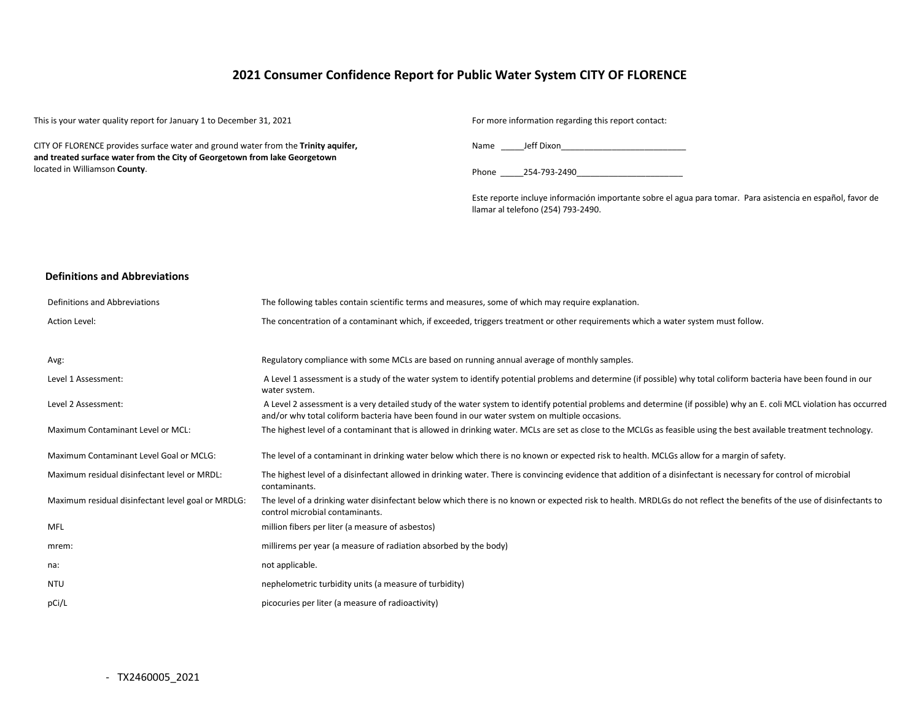# **2021 Consumer Confidence Report for Public Water System CITY OF FLORENCE**

This is your water quality report for January 1 to December 31, 2021 For more information regarding this report contact:

CITY OF FLORENCE provides surface water and ground water from the **Trinity aquifer, and treated surface water from the City of Georgetown from lake Georgetown**  located in Williamson **County**.

Name \_\_\_\_\_Jeff Dixon\_\_\_\_\_\_\_\_\_\_\_\_\_\_\_\_\_\_\_\_\_\_\_\_\_\_\_

Phone 254-793-2490

Este reporte incluye información importante sobre el agua para tomar. Para asistencia en español, favor de llamar al telefono (254) 793-2490.

#### **Definitions and Abbreviations**

| Definitions and Abbreviations                      | The following tables contain scientific terms and measures, some of which may require explanation.                                                                                                                                                                      |
|----------------------------------------------------|-------------------------------------------------------------------------------------------------------------------------------------------------------------------------------------------------------------------------------------------------------------------------|
| Action Level:                                      | The concentration of a contaminant which, if exceeded, triggers treatment or other requirements which a water system must follow.                                                                                                                                       |
|                                                    |                                                                                                                                                                                                                                                                         |
| Avg:                                               | Regulatory compliance with some MCLs are based on running annual average of monthly samples.                                                                                                                                                                            |
| Level 1 Assessment:                                | A Level 1 assessment is a study of the water system to identify potential problems and determine (if possible) why total coliform bacteria have been found in our<br>water system.                                                                                      |
| Level 2 Assessment:                                | A Level 2 assessment is a very detailed study of the water system to identify potential problems and determine (if possible) why an E. coli MCL violation has occurred<br>and/or why total coliform bacteria have been found in our water system on multiple occasions. |
| Maximum Contaminant Level or MCL:                  | The highest level of a contaminant that is allowed in drinking water. MCLs are set as close to the MCLGs as feasible using the best available treatment technology.                                                                                                     |
| Maximum Contaminant Level Goal or MCLG:            | The level of a contaminant in drinking water below which there is no known or expected risk to health. MCLGs allow for a margin of safety.                                                                                                                              |
| Maximum residual disinfectant level or MRDL:       | The highest level of a disinfectant allowed in drinking water. There is convincing evidence that addition of a disinfectant is necessary for control of microbial<br>contaminants.                                                                                      |
| Maximum residual disinfectant level goal or MRDLG: | The level of a drinking water disinfectant below which there is no known or expected risk to health. MRDLGs do not reflect the benefits of the use of disinfectants to<br>control microbial contaminants.                                                               |
| MFL                                                | million fibers per liter (a measure of asbestos)                                                                                                                                                                                                                        |
| mrem:                                              | millirems per year (a measure of radiation absorbed by the body)                                                                                                                                                                                                        |
| na:                                                | not applicable.                                                                                                                                                                                                                                                         |
| <b>NTU</b>                                         | nephelometric turbidity units (a measure of turbidity)                                                                                                                                                                                                                  |
| pCi/L                                              | picocuries per liter (a measure of radioactivity)                                                                                                                                                                                                                       |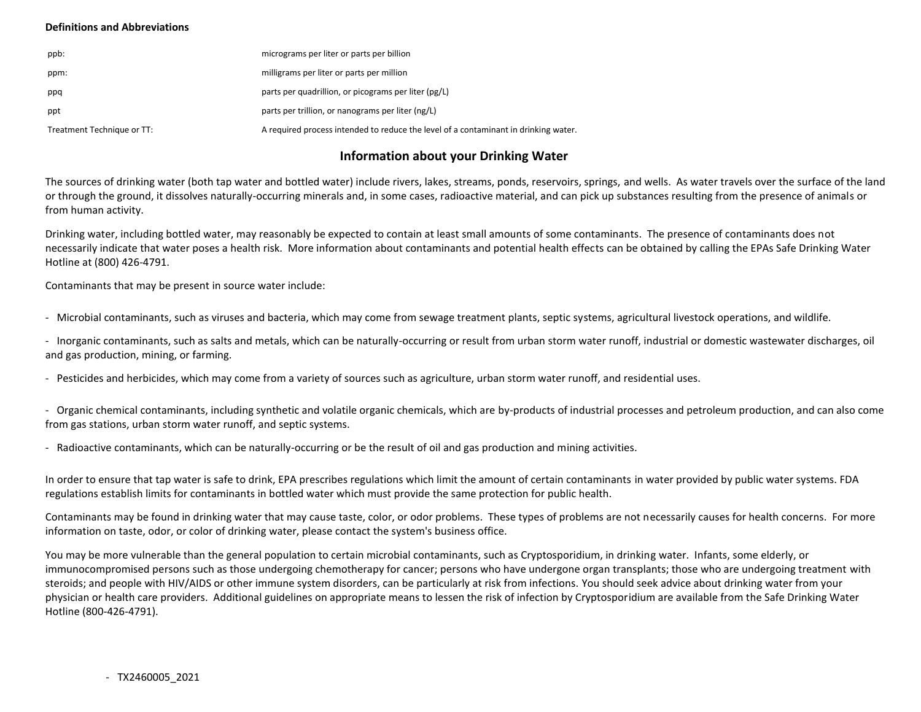### **Definitions and Abbreviations**

| ppb:                       | micrograms per liter or parts per billion                                           |
|----------------------------|-------------------------------------------------------------------------------------|
| ppm:                       | milligrams per liter or parts per million                                           |
| ppq                        | parts per quadrillion, or picograms per liter (pg/L)                                |
| ppt                        | parts per trillion, or nanograms per liter (ng/L)                                   |
| Treatment Technique or TT: | A required process intended to reduce the level of a contaminant in drinking water. |

# **Information about your Drinking Water**

The sources of drinking water (both tap water and bottled water) include rivers, lakes, streams, ponds, reservoirs, springs, and wells. As water travels over the surface of the land or through the ground, it dissolves naturally-occurring minerals and, in some cases, radioactive material, and can pick up substances resulting from the presence of animals or from human activity.

Drinking water, including bottled water, may reasonably be expected to contain at least small amounts of some contaminants. The presence of contaminants does not necessarily indicate that water poses a health risk. More information about contaminants and potential health effects can be obtained by calling the EPAs Safe Drinking Water Hotline at (800) 426-4791.

Contaminants that may be present in source water include:

- Microbial contaminants, such as viruses and bacteria, which may come from sewage treatment plants, septic systems, agricultural livestock operations, and wildlife.

- Inorganic contaminants, such as salts and metals, which can be naturally-occurring or result from urban storm water runoff, industrial or domestic wastewater discharges, oil and gas production, mining, or farming.

- Pesticides and herbicides, which may come from a variety of sources such as agriculture, urban storm water runoff, and residential uses.

- Organic chemical contaminants, including synthetic and volatile organic chemicals, which are by-products of industrial processes and petroleum production, and can also come from gas stations, urban storm water runoff, and septic systems.

- Radioactive contaminants, which can be naturally-occurring or be the result of oil and gas production and mining activities.

In order to ensure that tap water is safe to drink, EPA prescribes regulations which limit the amount of certain contaminants in water provided by public water systems. FDA regulations establish limits for contaminants in bottled water which must provide the same protection for public health.

Contaminants may be found in drinking water that may cause taste, color, or odor problems. These types of problems are not necessarily causes for health concerns. For more information on taste, odor, or color of drinking water, please contact the system's business office.

You may be more vulnerable than the general population to certain microbial contaminants, such as Cryptosporidium, in drinking water. Infants, some elderly, or immunocompromised persons such as those undergoing chemotherapy for cancer; persons who have undergone organ transplants; those who are undergoing treatment with steroids; and people with HIV/AIDS or other immune system disorders, can be particularly at risk from infections. You should seek advice about drinking water from your physician or health care providers. Additional guidelines on appropriate means to lessen the risk of infection by Cryptosporidium are available from the Safe Drinking Water Hotline (800-426-4791).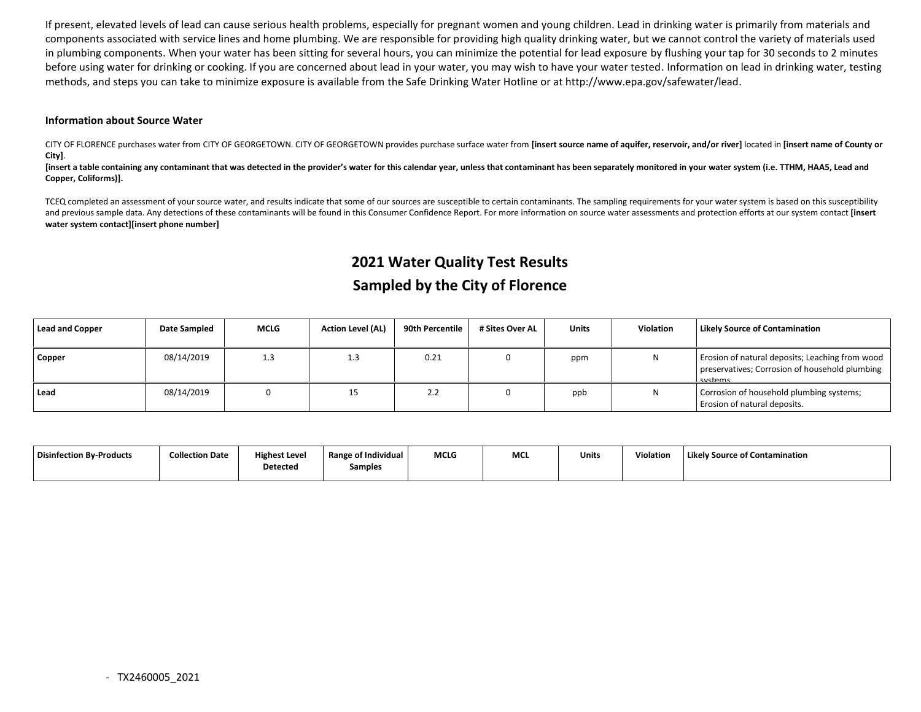If present, elevated levels of lead can cause serious health problems, especially for pregnant women and young children. Lead in drinking water is primarily from materials and components associated with service lines and home plumbing. We are responsible for providing high quality drinking water, but we cannot control the variety of materials used in plumbing components. When your water has been sitting for several hours, you can minimize the potential for lead exposure by flushing your tap for 30 seconds to 2 minutes before using water for drinking or cooking. If you are concerned about lead in your water, you may wish to have your water tested. Information on lead in drinking water, testing methods, and steps you can take to minimize exposure is available from the Safe Drinking Water Hotline or at http://www.epa.gov/safewater/lead.

### **Information about Source Water**

CITY OF FLORENCE purchases water from CITY OF GEORGETOWN. CITY OF GEORGETOWN provides purchase surface water from **[insert source name of aquifer, reservoir, and/or river]** located in **[insert name of County or City]**.

[insert a table containing any contaminant that was detected in the provider's water for this calendar year, unless that contaminant has been separately monitored in your water system (i.e. TTHM, HAA5, Lead and **Copper, Coliforms)].**

TCEQ completed an assessment of your source water, and results indicate that some of our sources are susceptible to certain contaminants. The sampling requirements for your water system is based on this susceptibility and previous sample data. Any detections of these contaminants will be found in this Consumer Confidence Report. For more information on source water assessments and protection efforts at our system contact **[insert water system contact][insert phone number]**

# **2021 Water Quality Test Results Sampled by the City of Florence**

| Lead and Copper | Date Sampled | <b>MCLG</b> | <b>Action Level (AL)</b> | 90th Percentile | # Sites Over AL | <b>Units</b> | Violation | Likely Source of Contamination                                                                               |
|-----------------|--------------|-------------|--------------------------|-----------------|-----------------|--------------|-----------|--------------------------------------------------------------------------------------------------------------|
| Copper          | 08/14/2019   | 1.3         | 1.3                      | 0.21            |                 | ppm          | Ν         | Erosion of natural deposits; Leaching from wood<br>preservatives; Corrosion of household plumbing<br>cyctame |
| l Lead          | 08/14/2019   |             | 15                       | 2.Z             |                 | ppb          | Ν         | Corrosion of household plumbing systems;<br>Erosion of natural deposits.                                     |

| Disinfection By-Products | <b>Collection Date</b> | <b>Highest Level</b><br>Detected | <b>Range of Individual</b><br>Samples | <b>MCLG</b> | <b>MCL</b> | Units | Violation | Likely Source of Contamination |
|--------------------------|------------------------|----------------------------------|---------------------------------------|-------------|------------|-------|-----------|--------------------------------|
|                          |                        |                                  |                                       |             |            |       |           |                                |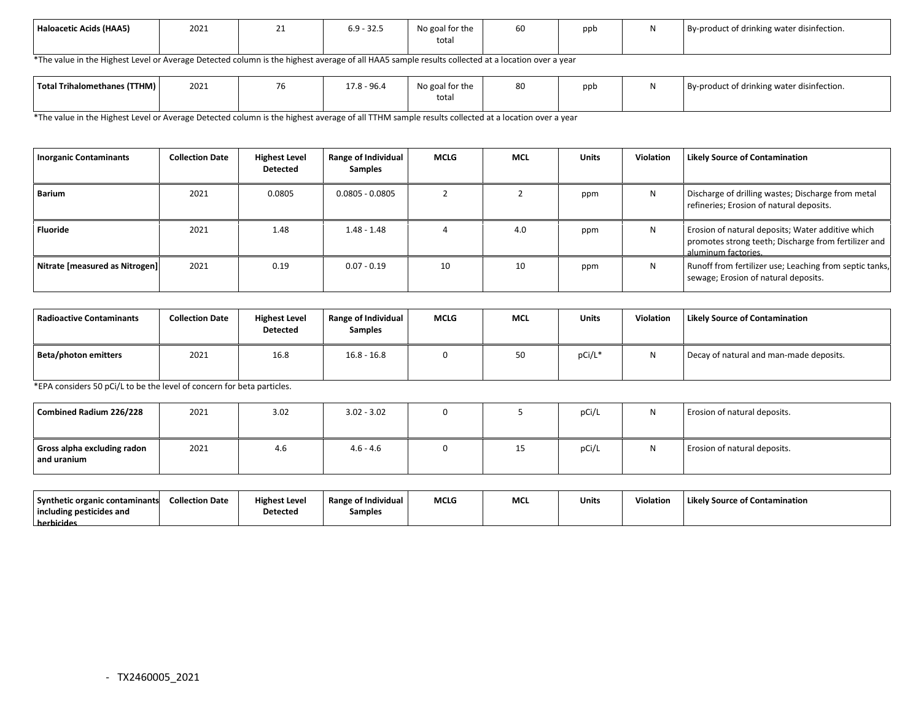| Haloacetic Acids (HAA5) | 2021 | <u>_ _</u> | $69 - 325$<br>- 37<br>. عد<br>◡.◡ | No goal for the<br>total | $ -$<br>60 | ppb | By-product of drinking water disinfection. |
|-------------------------|------|------------|-----------------------------------|--------------------------|------------|-----|--------------------------------------------|
|                         |      |            |                                   |                          |            |     |                                            |

\*The value in the Highest Level or Average Detected column is the highest average of all HAA5 sample results collected at a location over a year

| Total Trihalomethanes (TTHM) | 2021 | $\overline{\phantom{a}}$<br>$\sqrt{6}$ | $17.8 - 96.4$ | No goal for the | 80 | ppb | $\sim$ $\sim$<br>By-product of drinking water disinfection. |
|------------------------------|------|----------------------------------------|---------------|-----------------|----|-----|-------------------------------------------------------------|
|                              |      |                                        |               | total           |    |     |                                                             |

\*The value in the Highest Level or Average Detected column is the highest average of all TTHM sample results collected at a location over a year

| <b>Inorganic Contaminants</b>  | <b>Collection Date</b> | <b>Highest Level</b><br><b>Detected</b> | Range of Individual<br><b>Samples</b> | MCLG | <b>MCL</b> | <b>Units</b> | Violation | <b>Likely Source of Contamination</b>                                                                                            |
|--------------------------------|------------------------|-----------------------------------------|---------------------------------------|------|------------|--------------|-----------|----------------------------------------------------------------------------------------------------------------------------------|
| Barium                         | 2021                   | 0.0805                                  | $0.0805 - 0.0805$                     |      |            | ppm          | N         | Discharge of drilling wastes; Discharge from metal<br>refineries; Erosion of natural deposits.                                   |
| <b>Fluoride</b>                | 2021                   | 1.48                                    | $1.48 - 1.48$                         |      | 4.0        | ppm          | N         | Erosion of natural deposits; Water additive which<br>promotes strong teeth; Discharge from fertilizer and<br>aluminum factories. |
| Nitrate [measured as Nitrogen] | 2021                   | 0.19                                    | $0.07 - 0.19$                         | 10   | 10         | ppm          | N         | Runoff from fertilizer use; Leaching from septic tanks,<br>sewage; Erosion of natural deposits.                                  |

| <b>Radioactive Contaminants</b> | <b>Collection Date</b> | <b>Highest Level</b><br><b>Detected</b> | Range of Individual<br><b>Samples</b> | <b>MCLG</b> | <b>MCL</b> | Units  | Violation | <b>Likely Source of Contamination</b>   |
|---------------------------------|------------------------|-----------------------------------------|---------------------------------------|-------------|------------|--------|-----------|-----------------------------------------|
| Beta/photon emitters            | 2021                   | 16.8                                    | $16.8 - 16.8$                         |             | 50         | pCi/L* | N         | Decay of natural and man-made deposits. |

\*EPA considers 50 pCi/L to be the level of concern for beta particles.

| Combined Radium 226/228                    | 2021 | 3.02 | $3.02 - 3.02$ |    | pCi/L | Erosion of natural deposits. |
|--------------------------------------------|------|------|---------------|----|-------|------------------------------|
| Gross alpha excluding radon<br>and uranium | 2021 | 4.6  | $4.6 - 4.6$   | 15 | pCi/L | Erosion of natural deposits. |

| Synthetic organic contaminants | <b>Collection Date</b> | <b>Highest Level</b> | <b>Range of Individual</b> | <b>MCLG</b> | <b>MC</b> | Units | Violation | Likely Source of Contamination |
|--------------------------------|------------------------|----------------------|----------------------------|-------------|-----------|-------|-----------|--------------------------------|
| including pesticides and       |                        | Detected             | Samples                    |             |           |       |           |                                |
| herbicides                     |                        |                      |                            |             |           |       |           |                                |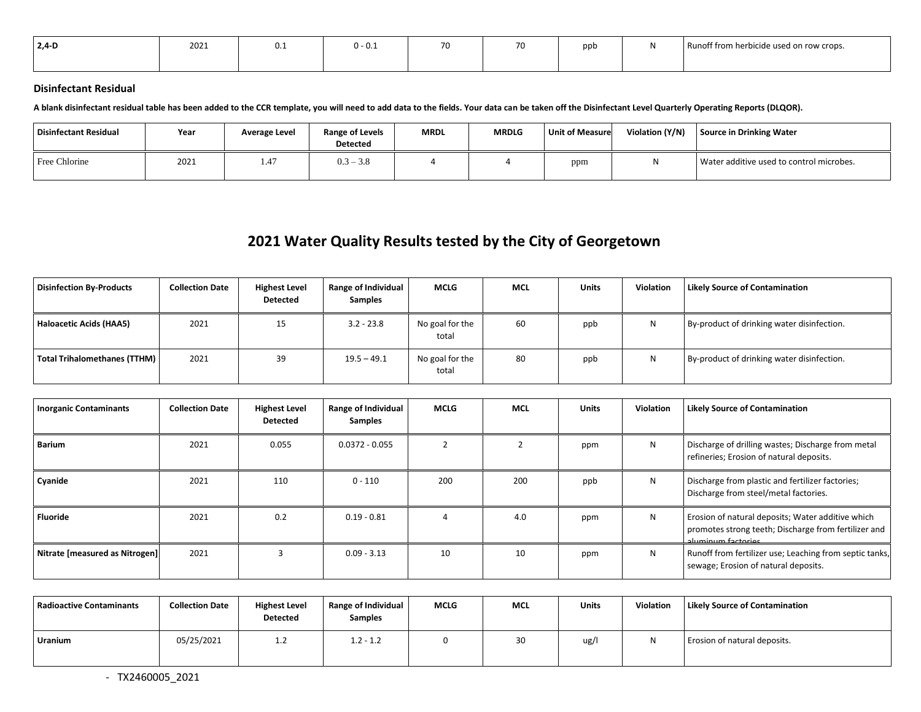| $2,4$ D<br>$\sim$ $\sim$ | 2021 | U.L | $U - U \cdot \Delta$ | $-1$<br>,,, | $\overline{\phantom{a}}$ | ppt | $\sim$<br>Runoff from herbicide used on row crops. |
|--------------------------|------|-----|----------------------|-------------|--------------------------|-----|----------------------------------------------------|
|                          |      |     |                      |             |                          |     |                                                    |

### **Disinfectant Residual**

**A blank disinfectant residual table has been added to the CCR template, you will need to add data to the fields. Your data can be taken off the Disinfectant Level Quarterly Operating Reports (DLQOR).**

| Disinfectant Residual | Year | Average Level          | <b>Range of Levels</b><br><b>Detected</b> | <b>MRDL</b> | <b>MRDLG</b> | <b>Unit of Measure</b> | Violation (Y/N) | Source in Drinking Water                 |
|-----------------------|------|------------------------|-------------------------------------------|-------------|--------------|------------------------|-----------------|------------------------------------------|
| Free Chlorine         | 2021 | $\overline{A}$<br>1.4. | $0.3 - 3.8$                               |             |              | ppm                    | w               | Water additive used to control microbes. |

# **2021 Water Quality Results tested by the City of Georgetown**

| <b>Disinfection By-Products</b> | <b>Collection Date</b> | <b>Highest Level</b><br><b>Detected</b> | Range of Individual<br><b>Samples</b> | <b>MCLG</b>              | MCL | <b>Units</b> | <b>Violation</b> | <b>Likely Source of Contamination</b>      |
|---------------------------------|------------------------|-----------------------------------------|---------------------------------------|--------------------------|-----|--------------|------------------|--------------------------------------------|
| Haloacetic Acids (HAA5)         | 2021                   | 15                                      | $3.2 - 23.8$                          | No goal for the<br>total | 60  | ppb          | N                | By-product of drinking water disinfection. |
| Total Trihalomethanes (TTHM)    | 2021                   | 39                                      | $19.5 - 49.1$                         | No goal for the<br>total | 80  | ppb          | N                | By-product of drinking water disinfection. |

| <b>Inorganic Contaminants</b>  | <b>Collection Date</b> | <b>Highest Level</b><br><b>Detected</b> | <b>Range of Individual</b><br><b>Samples</b> | <b>MCLG</b> | <b>MCL</b> | <b>Units</b> | <b>Violation</b> | <b>Likely Source of Contamination</b>                                                                                           |
|--------------------------------|------------------------|-----------------------------------------|----------------------------------------------|-------------|------------|--------------|------------------|---------------------------------------------------------------------------------------------------------------------------------|
| <b>Barium</b>                  | 2021                   | 0.055                                   | $0.0372 - 0.055$                             |             |            | ppm          | N                | Discharge of drilling wastes; Discharge from metal<br>refineries; Erosion of natural deposits.                                  |
| Cyanide                        | 2021                   | 110                                     | $0 - 110$                                    | 200         | 200        | ppb          | N                | Discharge from plastic and fertilizer factories;<br>Discharge from steel/metal factories.                                       |
| <b>Fluoride</b>                | 2021                   | 0.2                                     | $0.19 - 0.81$                                |             | 4.0        | ppm          | N                | Erosion of natural deposits; Water additive which<br>promotes strong teeth; Discharge from fertilizer and<br>aluminum factories |
| Nitrate [measured as Nitrogen] | 2021                   |                                         | $0.09 - 3.13$                                | 10          | 10         | ppm          | N                | Runoff from fertilizer use; Leaching from septic tanks,<br>sewage; Erosion of natural deposits.                                 |

| Radioactive Contaminants | <b>Collection Date</b> | <b>Highest Level</b><br>Detected | Range of Individual<br><b>Samples</b> | <b>MCLG</b> | <b>MCL</b> | <b>Units</b> | <b>Violation</b> | <b>Likely Source of Contamination</b> |
|--------------------------|------------------------|----------------------------------|---------------------------------------|-------------|------------|--------------|------------------|---------------------------------------|
| <b>Uranium</b>           | 05/25/2021             | 1.2                              | $1.2 - 1.2$                           |             | 30         | ug/l         | N                | Erosion of natural deposits.          |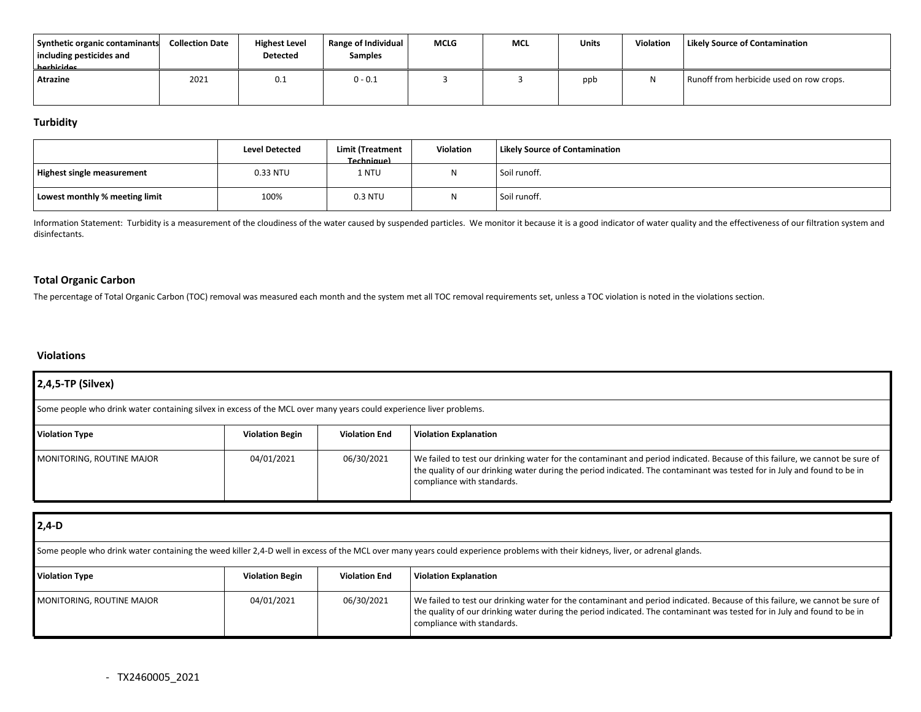| Synthetic organic contaminants<br>including pesticides and<br>harhicidae | <b>Collection Date</b> | <b>Highest Level</b><br><b>Detected</b> | Range of Individual<br><b>Samples</b> | <b>MCLG</b> | <b>MCL</b> | Units | <b>Violation</b> | <b>Likely Source of Contamination</b>    |
|--------------------------------------------------------------------------|------------------------|-----------------------------------------|---------------------------------------|-------------|------------|-------|------------------|------------------------------------------|
| <b>Atrazine</b>                                                          | 2021                   | 0.1                                     | $0 - 0.1$                             |             |            | ppb   | N                | Runoff from herbicide used on row crops. |

### **Turbidity**

|                                | <b>Level Detected</b> | Limit (Treatment<br>Technique) | <b>Violation</b> | <b>Likely Source of Contamination</b> |
|--------------------------------|-----------------------|--------------------------------|------------------|---------------------------------------|
| Highest single measurement     | 0.33 NTU              | 1 NTU                          |                  | Soil runoff.                          |
| Lowest monthly % meeting limit | 100%                  | 0.3 NTU                        | $\mathbf{M}$     | Soil runoff.                          |

Information Statement: Turbidity is a measurement of the cloudiness of the water caused by suspended particles. We monitor it because it is a good indicator of water quality and the effectiveness of our filtration system a disinfectants.

### **Total Organic Carbon**

The percentage of Total Organic Carbon (TOC) removal was measured each month and the system met all TOC removal requirements set, unless a TOC violation is noted in the violations section.

### **Violations**

| 2,4,5-TP (Silvex)                                                                                                   |                        |                      |                                                                                                                                                                                                                                                                                        |  |  |  |
|---------------------------------------------------------------------------------------------------------------------|------------------------|----------------------|----------------------------------------------------------------------------------------------------------------------------------------------------------------------------------------------------------------------------------------------------------------------------------------|--|--|--|
| Some people who drink water containing silvex in excess of the MCL over many years could experience liver problems. |                        |                      |                                                                                                                                                                                                                                                                                        |  |  |  |
| <b>Violation Type</b>                                                                                               | <b>Violation Begin</b> | <b>Violation End</b> | <b>Violation Explanation</b>                                                                                                                                                                                                                                                           |  |  |  |
| MONITORING, ROUTINE MAJOR                                                                                           | 04/01/2021             | 06/30/2021           | We failed to test our drinking water for the contaminant and period indicated. Because of this failure, we cannot be sure of<br>the quality of our drinking water during the period indicated. The contaminant was tested for in July and found to be in<br>compliance with standards. |  |  |  |

| $2,4-D$                                                                                                                                                                        |                        |                      |                                                                                                                                                                                                                                                                                        |  |  |  |
|--------------------------------------------------------------------------------------------------------------------------------------------------------------------------------|------------------------|----------------------|----------------------------------------------------------------------------------------------------------------------------------------------------------------------------------------------------------------------------------------------------------------------------------------|--|--|--|
| Some people who drink water containing the weed killer 2,4-D well in excess of the MCL over many years could experience problems with their kidneys, liver, or adrenal glands. |                        |                      |                                                                                                                                                                                                                                                                                        |  |  |  |
| <b>Violation Type</b>                                                                                                                                                          | <b>Violation Begin</b> | <b>Violation End</b> | <b>Violation Explanation</b>                                                                                                                                                                                                                                                           |  |  |  |
| MONITORING, ROUTINE MAJOR                                                                                                                                                      | 04/01/2021             | 06/30/2021           | We failed to test our drinking water for the contaminant and period indicated. Because of this failure, we cannot be sure of<br>the quality of our drinking water during the period indicated. The contaminant was tested for in July and found to be in<br>compliance with standards. |  |  |  |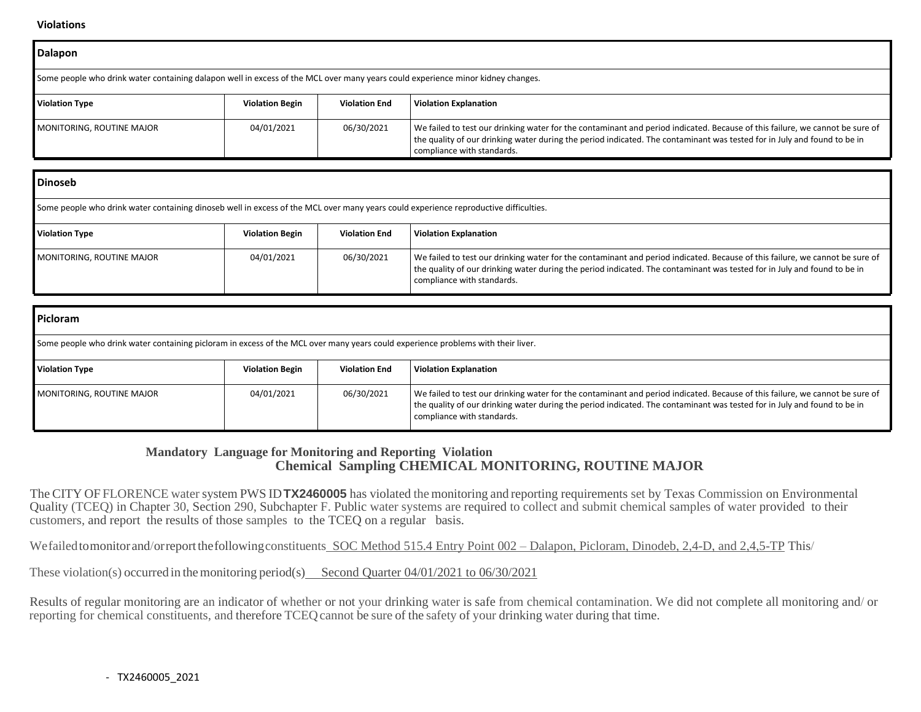#### **Violations**

| <b>Dalapon</b>                                                                                                                  |                        |                      |                                                                                                                                                                                                                                                                                        |  |  |  |
|---------------------------------------------------------------------------------------------------------------------------------|------------------------|----------------------|----------------------------------------------------------------------------------------------------------------------------------------------------------------------------------------------------------------------------------------------------------------------------------------|--|--|--|
| Some people who drink water containing dalapon well in excess of the MCL over many years could experience minor kidney changes. |                        |                      |                                                                                                                                                                                                                                                                                        |  |  |  |
| <b>Violation Type</b>                                                                                                           | <b>Violation Begin</b> | <b>Violation End</b> | <b>Violation Explanation</b>                                                                                                                                                                                                                                                           |  |  |  |
| MONITORING, ROUTINE MAJOR                                                                                                       | 04/01/2021             | 06/30/2021           | We failed to test our drinking water for the contaminant and period indicated. Because of this failure, we cannot be sure of<br>the quality of our drinking water during the period indicated. The contaminant was tested for in July and found to be in<br>compliance with standards. |  |  |  |

| <b>Dinoseb</b>                                                                                                                       |                        |                      |                                                                                                                                                                                                                                                                                        |  |  |  |
|--------------------------------------------------------------------------------------------------------------------------------------|------------------------|----------------------|----------------------------------------------------------------------------------------------------------------------------------------------------------------------------------------------------------------------------------------------------------------------------------------|--|--|--|
| Some people who drink water containing dinoseb well in excess of the MCL over many years could experience reproductive difficulties. |                        |                      |                                                                                                                                                                                                                                                                                        |  |  |  |
| <b>Violation Type</b>                                                                                                                | <b>Violation Begin</b> | <b>Violation End</b> | <b>Violation Explanation</b>                                                                                                                                                                                                                                                           |  |  |  |
| MONITORING, ROUTINE MAJOR                                                                                                            | 04/01/2021             | 06/30/2021           | We failed to test our drinking water for the contaminant and period indicated. Because of this failure, we cannot be sure of<br>the quality of our drinking water during the period indicated. The contaminant was tested for in July and found to be in<br>compliance with standards. |  |  |  |

| <b>Picloram</b>                                                                                                                  |                        |                      |                                                                                                                                                                                                                                                                                        |  |  |
|----------------------------------------------------------------------------------------------------------------------------------|------------------------|----------------------|----------------------------------------------------------------------------------------------------------------------------------------------------------------------------------------------------------------------------------------------------------------------------------------|--|--|
| Some people who drink water containing picloram in excess of the MCL over many years could experience problems with their liver. |                        |                      |                                                                                                                                                                                                                                                                                        |  |  |
| <b>Violation Type</b>                                                                                                            | <b>Violation Begin</b> | <b>Violation End</b> | <b>Violation Explanation</b>                                                                                                                                                                                                                                                           |  |  |
| MONITORING, ROUTINE MAJOR                                                                                                        | 04/01/2021             | 06/30/2021           | We failed to test our drinking water for the contaminant and period indicated. Because of this failure, we cannot be sure of<br>the quality of our drinking water during the period indicated. The contaminant was tested for in July and found to be in<br>compliance with standards. |  |  |

## **Mandatory Language for Monitoring and Reporting Violation Chemical Sampling CHEMICAL MONITORING, ROUTINE MAJOR**

The CITY OF FLORENCE water system PWS ID **TX2460005** has violated the monitoring and reporting requirements set by Texas Commission on Environmental Quality (TCEQ) in Chapter 30, Section 290, Subchapter F. Public water systems are required to collect and submit chemical samples of water provided to their customers, and report the results of those samples to the TCEQ on a regular basis.

Wefailed tomonitor and/orreport the following constituents SOC Method 515.4 Entry Point 002 – Dalapon, Picloram, Dinodeb, 2,4-D, and 2,4,5-TP This/

These violation(s) occurred in the monitoring period(s) Second Quarter 04/01/2021 to 06/30/2021

Results of regular monitoring are an indicator of whether or not your drinking water is safe from chemical contamination. We did not complete all monitoring and/ or reporting for chemical constituents, and therefore TCEQ cannot be sure of the safety of your drinking water during that time.